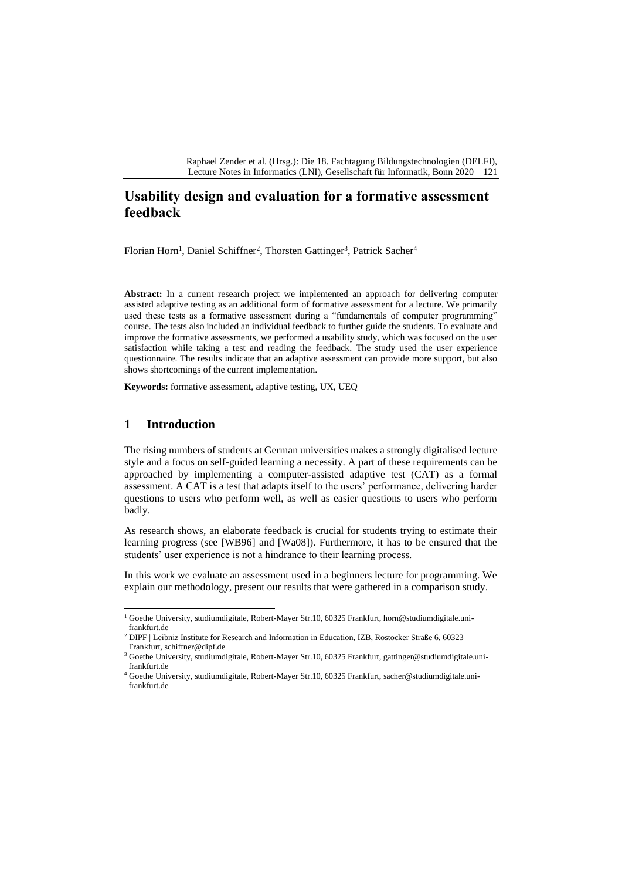Raphael Zender et al. (Hrsg.): Die 18. Fachtagung Bildungstechnologien (DELFI), Lecture Notes in Informatics (LNI), Gesellschaft für Informatik, Bonn 2020 121

# **Usability design and evaluation for a formative assessment feedback**

Florian Horn<sup>1</sup>, Daniel Schiffner<sup>2</sup>, Thorsten Gattinger<sup>3</sup>, Patrick Sacher<sup>4</sup>

**Abstract:** In a current research project we implemented an approach for delivering computer assisted adaptive testing as an additional form of formative assessment for a lecture. We primarily used these tests as a formative assessment during a "fundamentals of computer programming" course. The tests also included an individual feedback to further guide the students. To evaluate and improve the formative assessments, we performed a usability study, which was focused on the user satisfaction while taking a test and reading the feedback. The study used the user experience questionnaire. The results indicate that an adaptive assessment can provide more support, but also shows shortcomings of the current implementation.

**Keywords:** formative assessment, adaptive testing, UX, UEQ

#### **1 Introduction**

The rising numbers of students at German universities makes a strongly digitalised lecture style and a focus on self-guided learning a necessity. A part of these requirements can be approached by implementing a computer-assisted adaptive test (CAT) as a formal assessment. A CAT is a test that adapts itself to the users' performance, delivering harder questions to users who perform well, as well as easier questions to users who perform badly.

As research shows, an elaborate feedback is crucial for students trying to estimate their learning progress (see [WB96] and [Wa08]). Furthermore, it has to be ensured that the students' user experience is not a hindrance to their learning process.

In this work we evaluate an assessment used in a beginners lecture for programming. We explain our methodology, present our results that were gathered in a comparison study.

<sup>1</sup> Goethe University, studiumdigitale, Robert-Mayer Str.10, 60325 Frankfurt, horn@studiumdigitale.unifrankfurt.de

<sup>&</sup>lt;sup>2</sup> DIPF | Leibniz Institute for Research and Information in Education, IZB, Rostocker Straße 6, 60323 Frankfurt, schiffner@dipf.de

<sup>&</sup>lt;sup>3</sup> Goethe University, studiumdigitale, Robert-Mayer Str.10, 60325 Frankfurt, gattinger@studiumdigitale.unifrankfurt.de

<sup>4</sup> Goethe University, studiumdigitale, Robert-Mayer Str.10, 60325 Frankfurt, sacher@studiumdigitale.unifrankfurt.de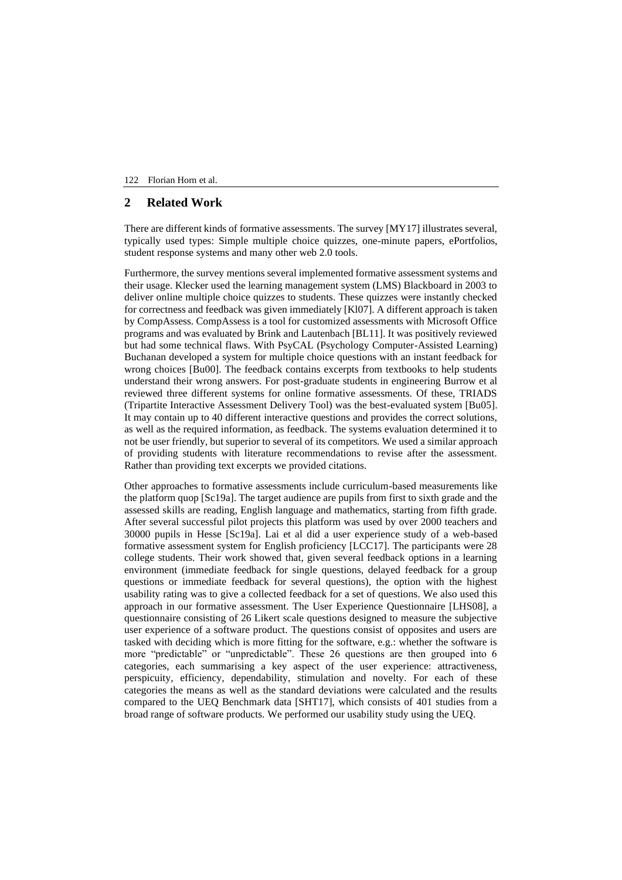#### 122 Florian Horn et al.

# **2 Related Work**

There are different kinds of formative assessments. The survey [MY17] illustrates several, typically used types: Simple multiple choice quizzes, one-minute papers, ePortfolios, student response systems and many other web 2.0 tools.

Furthermore, the survey mentions several implemented formative assessment systems and their usage. Klecker used the learning management system (LMS) Blackboard in 2003 to deliver online multiple choice quizzes to students. These quizzes were instantly checked for correctness and feedback was given immediately [Kl07]. A different approach is taken by CompAssess. CompAssess is a tool for customized assessments with Microsoft Office programs and was evaluated by Brink and Lautenbach [BL11]. It was positively reviewed but had some technical flaws. With PsyCAL (Psychology Computer-Assisted Learning) Buchanan developed a system for multiple choice questions with an instant feedback for wrong choices [Bu00]. The feedback contains excerpts from textbooks to help students understand their wrong answers. For post-graduate students in engineering Burrow et al reviewed three different systems for online formative assessments. Of these, TRIADS (Tripartite Interactive Assessment Delivery Tool) was the best-evaluated system [Bu05]. It may contain up to 40 different interactive questions and provides the correct solutions, as well as the required information, as feedback. The systems evaluation determined it to not be user friendly, but superior to several of its competitors. We used a similar approach of providing students with literature recommendations to revise after the assessment. Rather than providing text excerpts we provided citations.

Other approaches to formative assessments include curriculum-based measurements like the platform quop [Sc19a]. The target audience are pupils from first to sixth grade and the assessed skills are reading, English language and mathematics, starting from fifth grade. After several successful pilot projects this platform was used by over 2000 teachers and 30000 pupils in Hesse [Sc19a]. Lai et al did a user experience study of a web-based formative assessment system for English proficiency [LCC17]. The participants were 28 college students. Their work showed that, given several feedback options in a learning environment (immediate feedback for single questions, delayed feedback for a group questions or immediate feedback for several questions), the option with the highest usability rating was to give a collected feedback for a set of questions. We also used this approach in our formative assessment. The User Experience Questionnaire [LHS08], a questionnaire consisting of 26 Likert scale questions designed to measure the subjective user experience of a software product. The questions consist of opposites and users are tasked with deciding which is more fitting for the software, e.g.: whether the software is more "predictable" or "unpredictable". These 26 questions are then grouped into 6 categories, each summarising a key aspect of the user experience: attractiveness, perspicuity, efficiency, dependability, stimulation and novelty. For each of these categories the means as well as the standard deviations were calculated and the results compared to the UEQ Benchmark data [SHT17], which consists of 401 studies from a broad range of software products. We performed our usability study using the UEQ.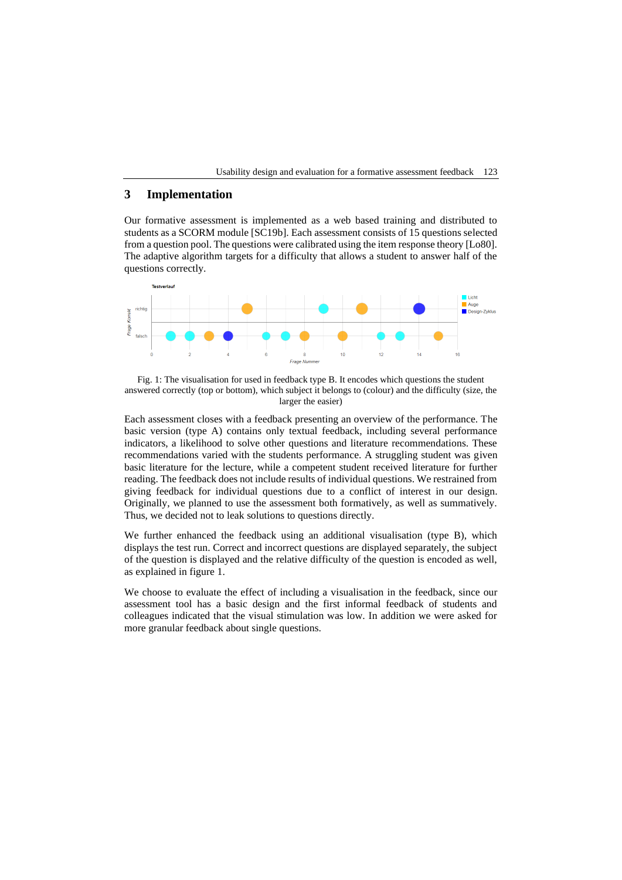Usability design and evaluation for a formative assessment feedback 123

# **3 Implementation**

Our formative assessment is implemented as a web based training and distributed to students as a SCORM module [SC19b]. Each assessment consists of 15 questions selected from a question pool. The questions were calibrated using the item response theory [Lo80]. The adaptive algorithm targets for a difficulty that allows a student to answer half of the questions correctly.



Fig. 1: The visualisation for used in feedback type B. It encodes which questions the student answered correctly (top or bottom), which subject it belongs to (colour) and the difficulty (size, the larger the easier)

Each assessment closes with a feedback presenting an overview of the performance. The basic version (type A) contains only textual feedback, including several performance indicators, a likelihood to solve other questions and literature recommendations. These recommendations varied with the students performance. A struggling student was given basic literature for the lecture, while a competent student received literature for further reading. The feedback does not include results of individual questions. We restrained from giving feedback for individual questions due to a conflict of interest in our design. Originally, we planned to use the assessment both formatively, as well as summatively. Thus, we decided not to leak solutions to questions directly.

We further enhanced the feedback using an additional visualisation (type B), which displays the test run. Correct and incorrect questions are displayed separately, the subject of the question is displayed and the relative difficulty of the question is encoded as well, as explained in figure 1.

We choose to evaluate the effect of including a visualisation in the feedback, since our assessment tool has a basic design and the first informal feedback of students and colleagues indicated that the visual stimulation was low. In addition we were asked for more granular feedback about single questions.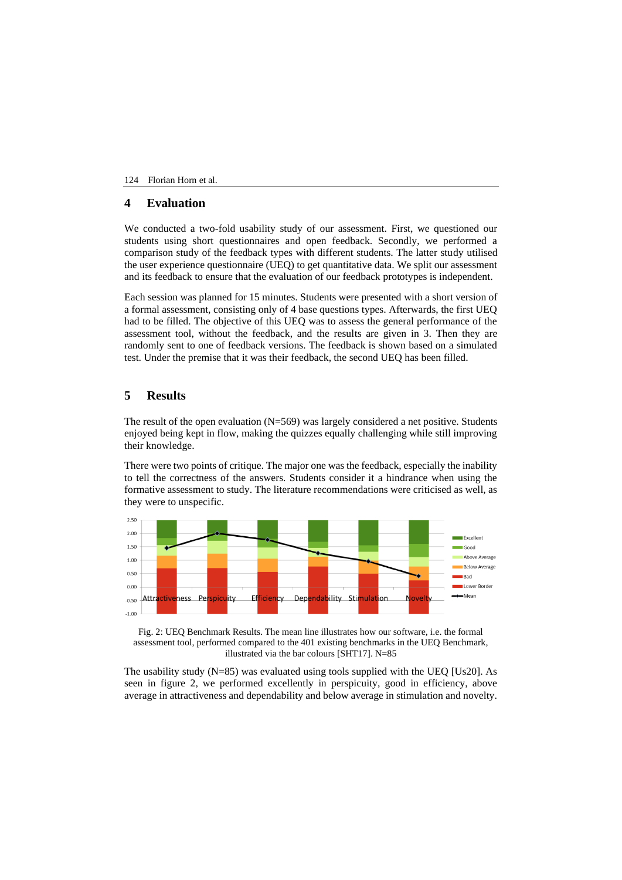#### 124 Florian Horn et al.

# **4 Evaluation**

We conducted a two-fold usability study of our assessment. First, we questioned our students using short questionnaires and open feedback. Secondly, we performed a comparison study of the feedback types with different students. The latter study utilised the user experience questionnaire (UEQ) to get quantitative data. We split our assessment and its feedback to ensure that the evaluation of our feedback prototypes is independent.

Each session was planned for 15 minutes. Students were presented with a short version of a formal assessment, consisting only of 4 base questions types. Afterwards, the first UEQ had to be filled. The objective of this UEQ was to assess the general performance of the assessment tool, without the feedback, and the results are given in 3. Then they are randomly sent to one of feedback versions. The feedback is shown based on a simulated test. Under the premise that it was their feedback, the second UEQ has been filled.

### **5 Results**

The result of the open evaluation  $(N=569)$  was largely considered a net positive. Students enjoyed being kept in flow, making the quizzes equally challenging while still improving their knowledge.

There were two points of critique. The major one was the feedback, especially the inability to tell the correctness of the answers. Students consider it a hindrance when using the formative assessment to study. The literature recommendations were criticised as well, as they were to unspecific.



Fig. 2: UEQ Benchmark Results. The mean line illustrates how our software, i.e. the formal assessment tool, performed compared to the 401 existing benchmarks in the UEQ Benchmark, illustrated via the bar colours [SHT17]. N=85

The usability study  $(N=85)$  was evaluated using tools supplied with the UEO [Us20]. As seen in figure 2, we performed excellently in perspicuity, good in efficiency, above average in attractiveness and dependability and below average in stimulation and novelty.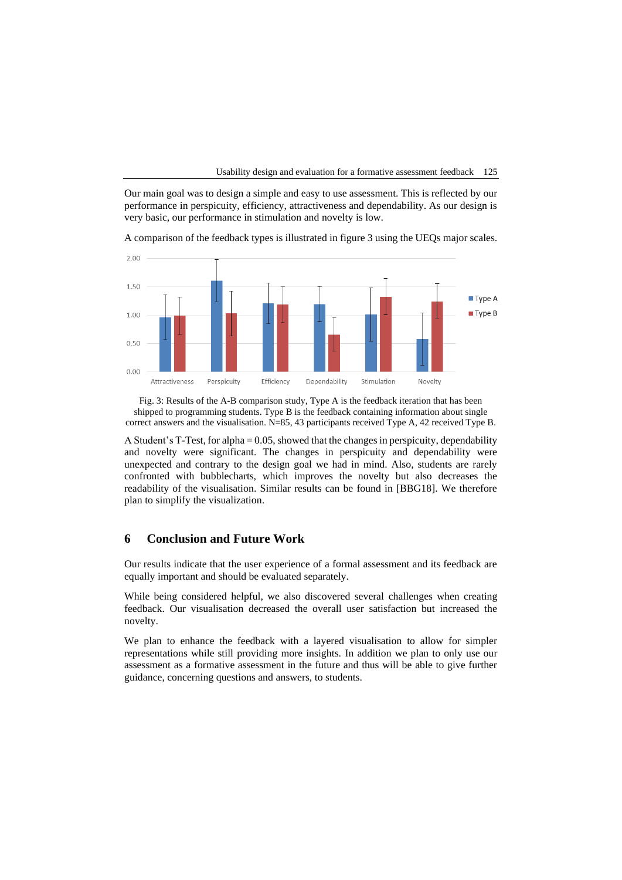Usability design and evaluation for a formative assessment feedback 125

Our main goal was to design a simple and easy to use assessment. This is reflected by our performance in perspicuity, efficiency, attractiveness and dependability. As our design is very basic, our performance in stimulation and novelty is low.

A comparison of the feedback types is illustrated in figure 3 using the UEQs major scales.



Fig. 3: Results of the A-B comparison study, Type A is the feedback iteration that has been shipped to programming students. Type B is the feedback containing information about single correct answers and the visualisation. N=85, 43 participants received Type A, 42 received Type B.

A Student's T-Test, for alpha = 0.05, showed that the changes in perspicuity, dependability and novelty were significant. The changes in perspicuity and dependability were unexpected and contrary to the design goal we had in mind. Also, students are rarely confronted with bubblecharts, which improves the novelty but also decreases the readability of the visualisation. Similar results can be found in [BBG18]. We therefore plan to simplify the visualization.

# **6 Conclusion and Future Work**

Our results indicate that the user experience of a formal assessment and its feedback are equally important and should be evaluated separately.

While being considered helpful, we also discovered several challenges when creating feedback. Our visualisation decreased the overall user satisfaction but increased the novelty.

We plan to enhance the feedback with a layered visualisation to allow for simpler representations while still providing more insights. In addition we plan to only use our assessment as a formative assessment in the future and thus will be able to give further guidance, concerning questions and answers, to students.